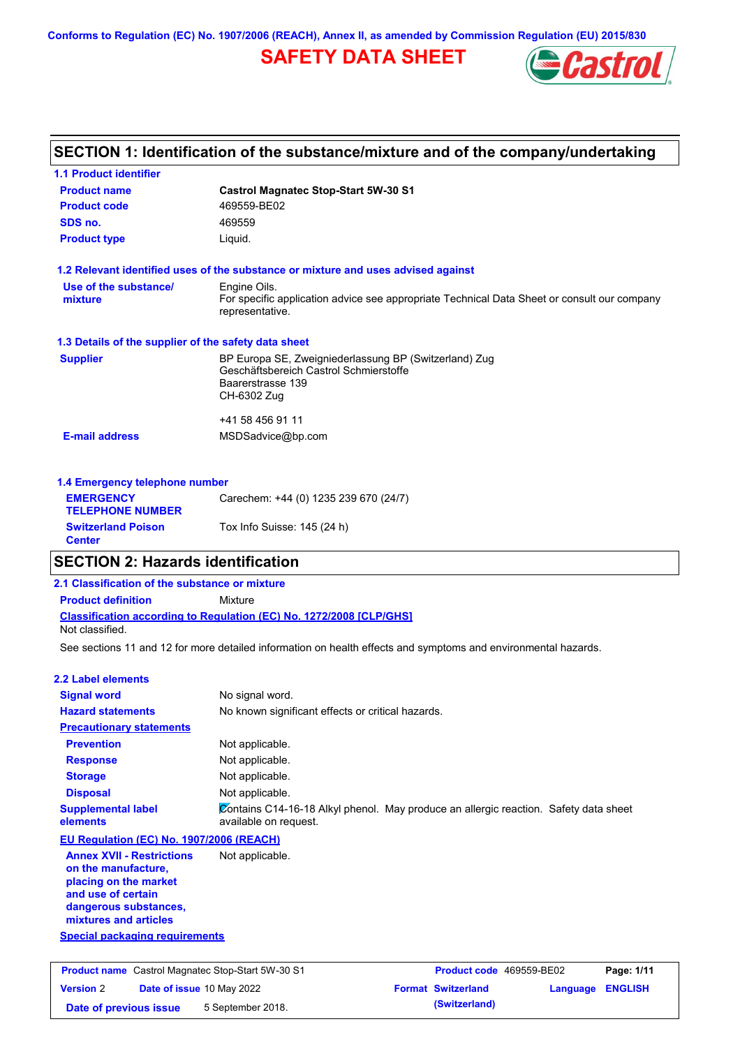**Conforms to Regulation (EC) No. 1907/2006 (REACH), Annex II, as amended by Commission Regulation (EU) 2015/830**

# **SAFETY DATA SHEET**



| SECTION 1: Identification of the substance/mixture and of the company/undertaking |                                                                                                                |  |  |  |
|-----------------------------------------------------------------------------------|----------------------------------------------------------------------------------------------------------------|--|--|--|
| <b>1.1 Product identifier</b>                                                     |                                                                                                                |  |  |  |
| <b>Product name</b>                                                               | <b>Castrol Magnatec Stop-Start 5W-30 S1</b>                                                                    |  |  |  |
| <b>Product code</b>                                                               | 469559-BE02                                                                                                    |  |  |  |
| SDS no.                                                                           | 469559                                                                                                         |  |  |  |
| <b>Product type</b>                                                               | Liquid.                                                                                                        |  |  |  |
|                                                                                   | 1.2 Relevant identified uses of the substance or mixture and uses advised against                              |  |  |  |
| Use of the substance/                                                             | Engine Oils.                                                                                                   |  |  |  |
| mixture                                                                           | For specific application advice see appropriate Technical Data Sheet or consult our company<br>representative. |  |  |  |
| 1.3 Details of the supplier of the safety data sheet                              |                                                                                                                |  |  |  |
| <b>Supplier</b>                                                                   | BP Europa SE, Zweigniederlassung BP (Switzerland) Zug                                                          |  |  |  |
|                                                                                   | Geschäftsbereich Castrol Schmierstoffe<br>Baarerstrasse 139                                                    |  |  |  |
|                                                                                   | CH-6302 Zug                                                                                                    |  |  |  |
|                                                                                   | +41 58 456 91 11                                                                                               |  |  |  |
| <b>E-mail address</b>                                                             | MSDSadvice@bp.com                                                                                              |  |  |  |
| 1.4 Emergency telephone number                                                    |                                                                                                                |  |  |  |
| <b>EMERGENCY</b>                                                                  | Carechem: +44 (0) 1235 239 670 (24/7)                                                                          |  |  |  |
| <b>TELEPHONE NUMBER</b>                                                           |                                                                                                                |  |  |  |
| <b>Switzerland Poison</b>                                                         | Tox Info Suisse: 145 (24 h)                                                                                    |  |  |  |

### **SECTION 2: Hazards identification**

### **Classification according to Regulation (EC) No. 1272/2008 [CLP/GHS] 2.1 Classification of the substance or mixture Product definition** Mixture Not classified.

See sections 11 and 12 for more detailed information on health effects and symptoms and environmental hazards.

### **2.2 Label elements**

**Center**

| <b>Signal word</b>                                                                                                                                       | No signal word.                                                                                               |
|----------------------------------------------------------------------------------------------------------------------------------------------------------|---------------------------------------------------------------------------------------------------------------|
| <b>Hazard statements</b>                                                                                                                                 | No known significant effects or critical hazards.                                                             |
| <b>Precautionary statements</b>                                                                                                                          |                                                                                                               |
| <b>Prevention</b>                                                                                                                                        | Not applicable.                                                                                               |
| <b>Response</b>                                                                                                                                          | Not applicable.                                                                                               |
| <b>Storage</b>                                                                                                                                           | Not applicable.                                                                                               |
| <b>Disposal</b>                                                                                                                                          | Not applicable.                                                                                               |
| <b>Supplemental label</b><br>elements                                                                                                                    | Contains C14-16-18 Alkyl phenol. May produce an allergic reaction. Safety data sheet<br>available on request. |
| EU Regulation (EC) No. 1907/2006 (REACH)                                                                                                                 |                                                                                                               |
| <b>Annex XVII - Restrictions</b><br>on the manufacture.<br>placing on the market<br>and use of certain<br>dangerous substances,<br>mixtures and articles | Not applicable.                                                                                               |
| <b>Special packaging requirements</b>                                                                                                                    |                                                                                                               |

| <b>Product name</b> Castrol Magnatec Stop-Start 5W-30 S1 |  |                                  | <b>Product code</b> 469559-BE02 |                  | Page: 1/11 |
|----------------------------------------------------------|--|----------------------------------|---------------------------------|------------------|------------|
| <b>Version 2</b>                                         |  | <b>Date of issue 10 May 2022</b> | <b>Format Switzerland</b>       | Language ENGLISH |            |
| Date of previous issue                                   |  | 5 September 2018.                | (Switzerland)                   |                  |            |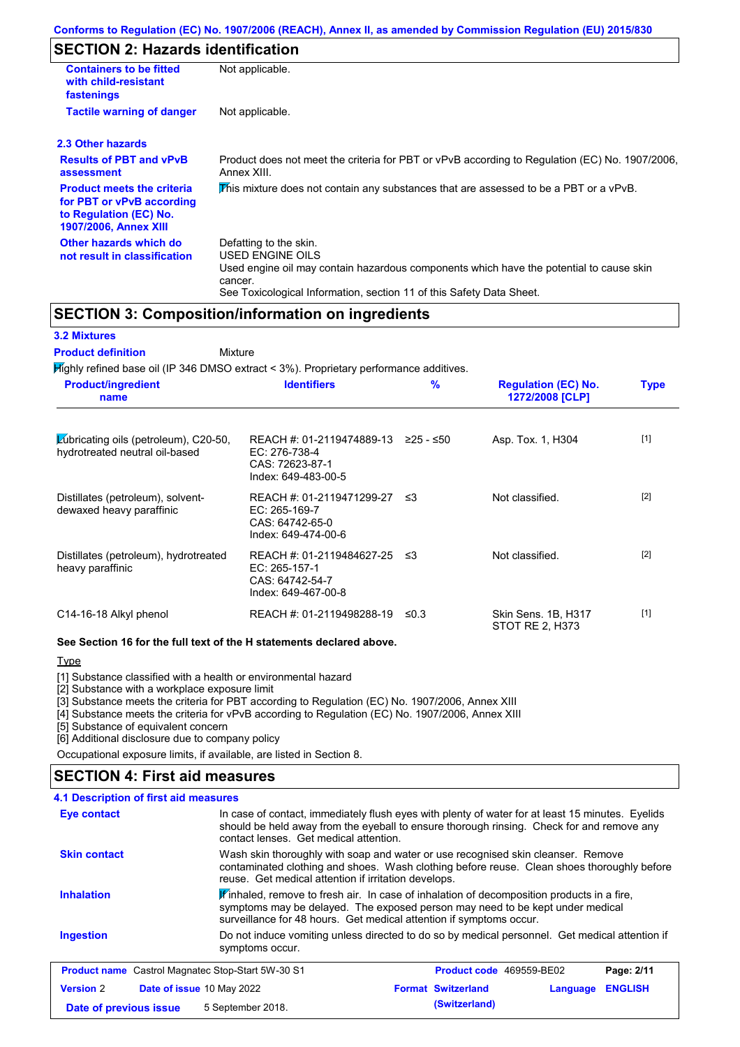# **SECTION 2: Hazards identification**

| <b>Containers to be fitted</b><br>with child-resistant<br>fastenings                                                     | Not applicable.                                                                                                                                                                                                          |
|--------------------------------------------------------------------------------------------------------------------------|--------------------------------------------------------------------------------------------------------------------------------------------------------------------------------------------------------------------------|
| <b>Tactile warning of danger</b>                                                                                         | Not applicable.                                                                                                                                                                                                          |
| 2.3 Other hazards                                                                                                        |                                                                                                                                                                                                                          |
| <b>Results of PBT and vPvB</b><br>assessment                                                                             | Product does not meet the criteria for PBT or vPvB according to Regulation (EC) No. 1907/2006,<br>Annex XIII.                                                                                                            |
| <b>Product meets the criteria</b><br>for PBT or vPvB according<br>to Regulation (EC) No.<br><b>1907/2006, Annex XIII</b> | This mixture does not contain any substances that are assessed to be a PBT or a vPvB.                                                                                                                                    |
| Other hazards which do<br>not result in classification                                                                   | Defatting to the skin.<br>USED ENGINE OILS<br>Used engine oil may contain hazardous components which have the potential to cause skin<br>cancer.<br>See Toxicological Information, section 11 of this Safety Data Sheet. |

### **SECTION 3: Composition/information on ingredients**

### **3.2 Mixtures**

Mixture **Product definition**

Highly refined base oil (IP 346 DMSO extract < 3%). Proprietary performance additives.

| <b>Product/ingredient</b><br>name                                       | <b>Identifiers</b>                                                                      | $\frac{9}{6}$ | <b>Regulation (EC) No.</b><br>1272/2008 [CLP] | <b>Type</b> |
|-------------------------------------------------------------------------|-----------------------------------------------------------------------------------------|---------------|-----------------------------------------------|-------------|
| Lubricating oils (petroleum), C20-50,<br>hydrotreated neutral oil-based | REACH #: 01-2119474889-13<br>EC: 276-738-4<br>CAS: 72623-87-1<br>Index: 649-483-00-5    | ≥25 - ≤50     | Asp. Tox. 1, H304                             | $[1]$       |
| Distillates (petroleum), solvent-<br>dewaxed heavy paraffinic           | REACH #: 01-2119471299-27 ≤3<br>EC: 265-169-7<br>CAS: 64742-65-0<br>Index: 649-474-00-6 |               | Not classified.                               | $[2]$       |
| Distillates (petroleum), hydrotreated<br>heavy paraffinic               | REACH #: 01-2119484627-25<br>EC: 265-157-1<br>CAS: 64742-54-7<br>Index: 649-467-00-8    | - ≤3          | Not classified.                               | $[2]$       |
| C14-16-18 Alkyl phenol                                                  | REACH #: 01-2119498288-19                                                               | ≤0.3          | Skin Sens. 1B, H317<br>STOT RE 2, H373        | $[1]$       |

#### **See Section 16 for the full text of the H statements declared above.**

**Type** 

[1] Substance classified with a health or environmental hazard

[2] Substance with a workplace exposure limit

[3] Substance meets the criteria for PBT according to Regulation (EC) No. 1907/2006, Annex XIII

[4] Substance meets the criteria for vPvB according to Regulation (EC) No. 1907/2006, Annex XIII

[5] Substance of equivalent concern

[6] Additional disclosure due to company policy

Occupational exposure limits, if available, are listed in Section 8.

### **SECTION 4: First aid measures**

| 4.1 Description of first aid measures                    |                                                                                                                                                                                                                                                               |                                                                                                                                                                                               |          |                |  |
|----------------------------------------------------------|---------------------------------------------------------------------------------------------------------------------------------------------------------------------------------------------------------------------------------------------------------------|-----------------------------------------------------------------------------------------------------------------------------------------------------------------------------------------------|----------|----------------|--|
| Eye contact                                              | contact lenses. Get medical attention.                                                                                                                                                                                                                        | In case of contact, immediately flush eyes with plenty of water for at least 15 minutes. Eyelids<br>should be held away from the eyeball to ensure thorough rinsing. Check for and remove any |          |                |  |
| <b>Skin contact</b>                                      | Wash skin thoroughly with soap and water or use recognised skin cleanser. Remove<br>contaminated clothing and shoes. Wash clothing before reuse. Clean shoes thoroughly before<br>reuse. Get medical attention if irritation develops.                        |                                                                                                                                                                                               |          |                |  |
| <b>Inhalation</b>                                        | $\mathbf{F}$ inhaled, remove to fresh air. In case of inhalation of decomposition products in a fire,<br>symptoms may be delayed. The exposed person may need to be kept under medical<br>surveillance for 48 hours. Get medical attention if symptoms occur. |                                                                                                                                                                                               |          |                |  |
| <b>Ingestion</b>                                         | Do not induce vomiting unless directed to do so by medical personnel. Get medical attention if<br>symptoms occur.                                                                                                                                             |                                                                                                                                                                                               |          |                |  |
| <b>Product name</b> Castrol Magnatec Stop-Start 5W-30 S1 |                                                                                                                                                                                                                                                               | Product code 469559-BE02                                                                                                                                                                      |          | Page: 2/11     |  |
| <b>Version 2</b>                                         | Date of issue 10 May 2022                                                                                                                                                                                                                                     | <b>Format Switzerland</b>                                                                                                                                                                     | Language | <b>ENGLISH</b> |  |
| Date of previous issue                                   | 5 September 2018.                                                                                                                                                                                                                                             | (Switzerland)                                                                                                                                                                                 |          |                |  |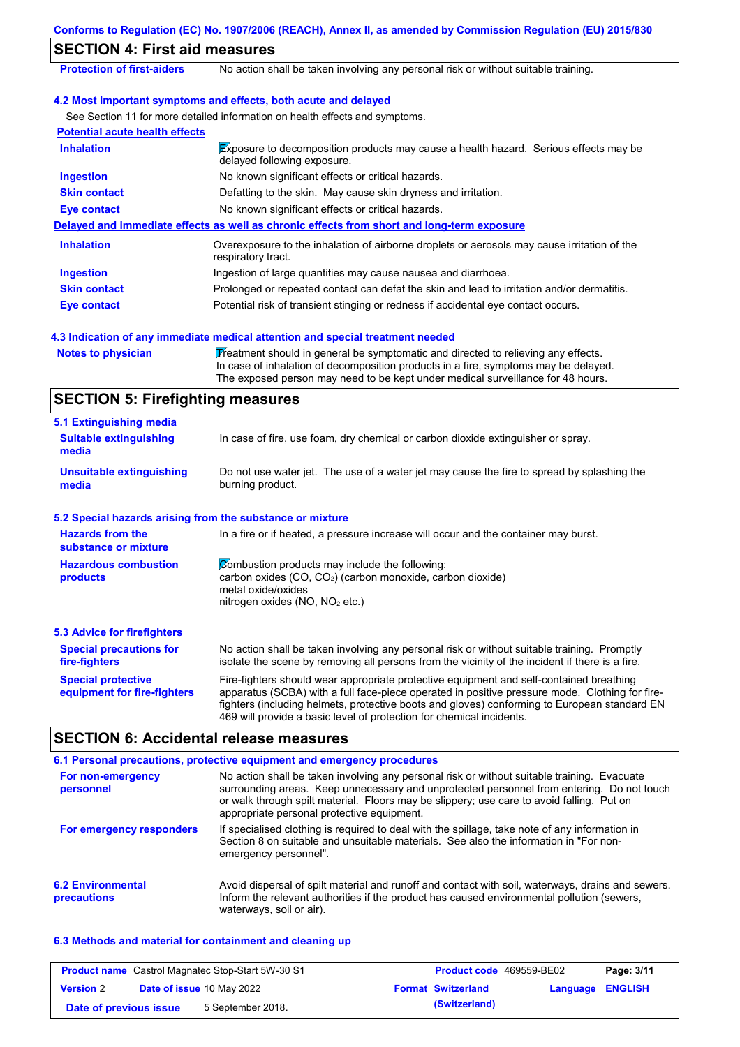|                                                           | Conforms to Regulation (EC) No. 1907/2006 (REACH), Annex II, as amended by Commission Regulation (EU) 2015/830                                                                                                                                                                                                                                                    |
|-----------------------------------------------------------|-------------------------------------------------------------------------------------------------------------------------------------------------------------------------------------------------------------------------------------------------------------------------------------------------------------------------------------------------------------------|
| <b>SECTION 4: First aid measures</b>                      |                                                                                                                                                                                                                                                                                                                                                                   |
| <b>Protection of first-aiders</b>                         | No action shall be taken involving any personal risk or without suitable training.                                                                                                                                                                                                                                                                                |
|                                                           | 4.2 Most important symptoms and effects, both acute and delayed                                                                                                                                                                                                                                                                                                   |
|                                                           | See Section 11 for more detailed information on health effects and symptoms.                                                                                                                                                                                                                                                                                      |
| <b>Potential acute health effects</b>                     |                                                                                                                                                                                                                                                                                                                                                                   |
| <b>Inhalation</b>                                         | <b>Exposure to decomposition products may cause a health hazard. Serious effects may be</b><br>delayed following exposure.                                                                                                                                                                                                                                        |
| <b>Ingestion</b>                                          | No known significant effects or critical hazards.                                                                                                                                                                                                                                                                                                                 |
| <b>Skin contact</b>                                       | Defatting to the skin. May cause skin dryness and irritation.                                                                                                                                                                                                                                                                                                     |
| <b>Eye contact</b>                                        | No known significant effects or critical hazards.                                                                                                                                                                                                                                                                                                                 |
|                                                           | Delayed and immediate effects as well as chronic effects from short and long-term exposure                                                                                                                                                                                                                                                                        |
| <b>Inhalation</b>                                         | Overexposure to the inhalation of airborne droplets or aerosols may cause irritation of the<br>respiratory tract.                                                                                                                                                                                                                                                 |
| <b>Ingestion</b>                                          | Ingestion of large quantities may cause nausea and diarrhoea.                                                                                                                                                                                                                                                                                                     |
| <b>Skin contact</b>                                       | Prolonged or repeated contact can defat the skin and lead to irritation and/or dermatitis.                                                                                                                                                                                                                                                                        |
| <b>Eye contact</b>                                        | Potential risk of transient stinging or redness if accidental eye contact occurs.                                                                                                                                                                                                                                                                                 |
|                                                           | 4.3 Indication of any immediate medical attention and special treatment needed                                                                                                                                                                                                                                                                                    |
| <b>Notes to physician</b>                                 | Treatment should in general be symptomatic and directed to relieving any effects.<br>In case of inhalation of decomposition products in a fire, symptoms may be delayed.<br>The exposed person may need to be kept under medical surveillance for 48 hours.                                                                                                       |
| <b>SECTION 5: Firefighting measures</b>                   |                                                                                                                                                                                                                                                                                                                                                                   |
| 5.1 Extinguishing media                                   |                                                                                                                                                                                                                                                                                                                                                                   |
| <b>Suitable extinguishing</b><br>media                    | In case of fire, use foam, dry chemical or carbon dioxide extinguisher or spray.                                                                                                                                                                                                                                                                                  |
| <b>Unsuitable extinguishing</b><br>media                  | Do not use water jet. The use of a water jet may cause the fire to spread by splashing the<br>burning product.                                                                                                                                                                                                                                                    |
| 5.2 Special hazards arising from the substance or mixture |                                                                                                                                                                                                                                                                                                                                                                   |
| <b>Hazards from the</b><br>substance or mixture           | In a fire or if heated, a pressure increase will occur and the container may burst.                                                                                                                                                                                                                                                                               |
| <b>Hazardous combustion</b><br>products                   | Combustion products may include the following:<br>carbon oxides (CO, CO <sub>2</sub> ) (carbon monoxide, carbon dioxide)<br>metal oxide/oxides<br>nitrogen oxides (NO, NO <sub>2</sub> etc.)                                                                                                                                                                      |
| <b>5.3 Advice for firefighters</b>                        |                                                                                                                                                                                                                                                                                                                                                                   |
| <b>Special precautions for</b><br>fire-fighters           | No action shall be taken involving any personal risk or without suitable training. Promptly<br>isolate the scene by removing all persons from the vicinity of the incident if there is a fire.                                                                                                                                                                    |
| <b>Special protective</b><br>equipment for fire-fighters  | Fire-fighters should wear appropriate protective equipment and self-contained breathing<br>apparatus (SCBA) with a full face-piece operated in positive pressure mode. Clothing for fire-<br>fighters (including helmets, protective boots and gloves) conforming to European standard EN<br>469 will provide a basic level of protection for chemical incidents. |
| <b>SECTION 6: Accidental release measures</b>             |                                                                                                                                                                                                                                                                                                                                                                   |
|                                                           | 6.1 Personal precautions, protective equipment and emergency procedures                                                                                                                                                                                                                                                                                           |

#### **6.2 Environmental precautions** Avoid dispersal of spilt material and runoff and contact with soil, waterways, drains and sewers. Inform the relevant authorities if the product has caused environmental pollution (sewers, waterways, soil or air). **For non-emergency personnel For emergency responders** No action shall be taken involving any personal risk or without suitable training. Evacuate surrounding areas. Keep unnecessary and unprotected personnel from entering. Do not touch or walk through spilt material. Floors may be slippery; use care to avoid falling. Put on appropriate personal protective equipment. If specialised clothing is required to deal with the spillage, take note of any information in Section 8 on suitable and unsuitable materials. See also the information in "For nonemergency personnel".

### **6.3 Methods and material for containment and cleaning up**

| <b>Product name</b> Castrol Magnatec Stop-Start 5W-30 S1 |                                  | <b>Product code</b> 469559-BE02 |  | Page: 3/11                |                         |  |
|----------------------------------------------------------|----------------------------------|---------------------------------|--|---------------------------|-------------------------|--|
| <b>Version</b> 2                                         | <b>Date of issue 10 May 2022</b> |                                 |  | <b>Format Switzerland</b> | <b>Language ENGLISH</b> |  |
| Date of previous issue                                   |                                  | 5 September 2018.               |  | (Switzerland)             |                         |  |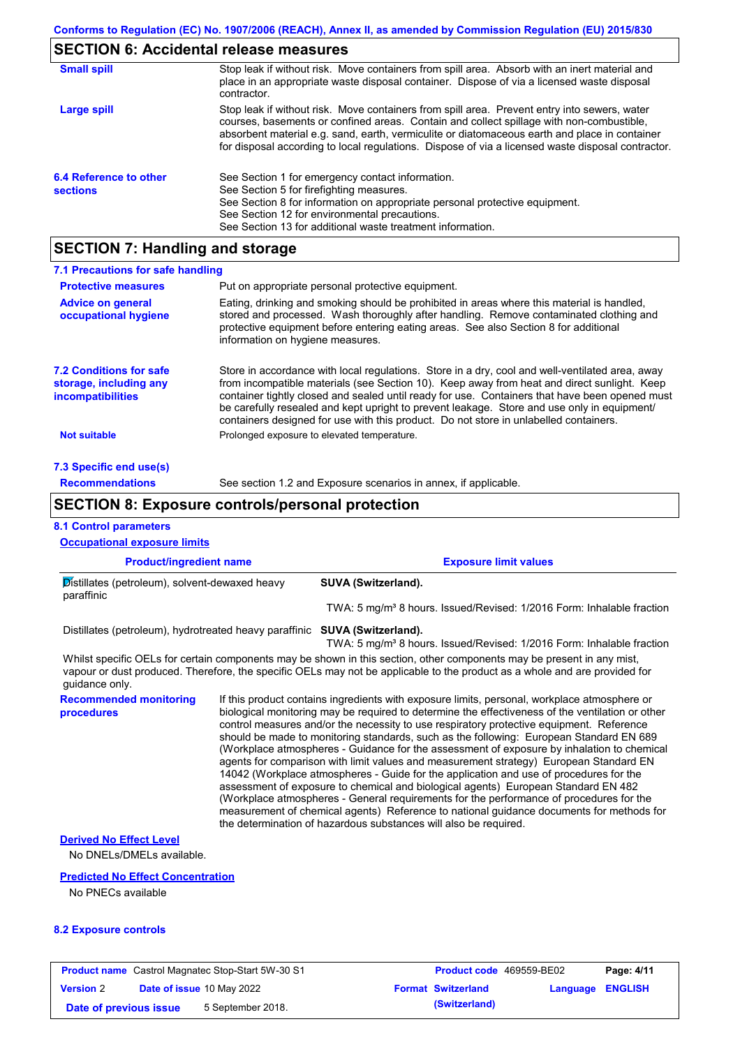# **SECTION 6: Accidental release measures**

| <b>Small spill</b>                        | Stop leak if without risk. Move containers from spill area. Absorb with an inert material and<br>place in an appropriate waste disposal container. Dispose of via a licensed waste disposal<br>contractor.                                                                                                                                                                                     |
|-------------------------------------------|------------------------------------------------------------------------------------------------------------------------------------------------------------------------------------------------------------------------------------------------------------------------------------------------------------------------------------------------------------------------------------------------|
| Large spill                               | Stop leak if without risk. Move containers from spill area. Prevent entry into sewers, water<br>courses, basements or confined areas. Contain and collect spillage with non-combustible,<br>absorbent material e.g. sand, earth, vermiculite or diatomaceous earth and place in container<br>for disposal according to local regulations. Dispose of via a licensed waste disposal contractor. |
| 6.4 Reference to other<br><b>sections</b> | See Section 1 for emergency contact information.<br>See Section 5 for firefighting measures.<br>See Section 8 for information on appropriate personal protective equipment.<br>See Section 12 for environmental precautions.<br>See Section 13 for additional waste treatment information.                                                                                                     |

# **SECTION 7: Handling and storage**

| 7.1 Precautions for safe handling                                                    |                                                                                                                                                                                                                                                                                                                                                                                                                                                                                          |
|--------------------------------------------------------------------------------------|------------------------------------------------------------------------------------------------------------------------------------------------------------------------------------------------------------------------------------------------------------------------------------------------------------------------------------------------------------------------------------------------------------------------------------------------------------------------------------------|
| <b>Protective measures</b>                                                           | Put on appropriate personal protective equipment.                                                                                                                                                                                                                                                                                                                                                                                                                                        |
| <b>Advice on general</b><br>occupational hygiene                                     | Eating, drinking and smoking should be prohibited in areas where this material is handled,<br>stored and processed. Wash thoroughly after handling. Remove contaminated clothing and<br>protective equipment before entering eating areas. See also Section 8 for additional<br>information on hygiene measures.                                                                                                                                                                         |
| <b>7.2 Conditions for safe</b><br>storage, including any<br><i>incompatibilities</i> | Store in accordance with local regulations. Store in a dry, cool and well-ventilated area, away<br>from incompatible materials (see Section 10). Keep away from heat and direct sunlight. Keep<br>container tightly closed and sealed until ready for use. Containers that have been opened must<br>be carefully resealed and kept upright to prevent leakage. Store and use only in equipment/<br>containers designed for use with this product. Do not store in unlabelled containers. |
| <b>Not suitable</b>                                                                  | Prolonged exposure to elevated temperature.                                                                                                                                                                                                                                                                                                                                                                                                                                              |
| 7.3 Specific end use(s)                                                              |                                                                                                                                                                                                                                                                                                                                                                                                                                                                                          |
| <b>Recommendations</b>                                                               | See section 1.2 and Exposure scenarios in annex, if applicable.                                                                                                                                                                                                                                                                                                                                                                                                                          |

### **SECTION 8: Exposure controls/personal protection**

### **8.1 Control parameters**

| <b>Occupational exposure limits</b>                                                                                                                                                                                                                                                                                                                                                                                                                                                                                                                                                                                                                                                                                                                                                                                                                                                                                                                                                                   |  |                                                                                                                                                                                                                                                      |  |  |
|-------------------------------------------------------------------------------------------------------------------------------------------------------------------------------------------------------------------------------------------------------------------------------------------------------------------------------------------------------------------------------------------------------------------------------------------------------------------------------------------------------------------------------------------------------------------------------------------------------------------------------------------------------------------------------------------------------------------------------------------------------------------------------------------------------------------------------------------------------------------------------------------------------------------------------------------------------------------------------------------------------|--|------------------------------------------------------------------------------------------------------------------------------------------------------------------------------------------------------------------------------------------------------|--|--|
| <b>Product/ingredient name</b>                                                                                                                                                                                                                                                                                                                                                                                                                                                                                                                                                                                                                                                                                                                                                                                                                                                                                                                                                                        |  | <b>Exposure limit values</b>                                                                                                                                                                                                                         |  |  |
| Distillates (petroleum), solvent-dewaxed heavy<br>paraffinic                                                                                                                                                                                                                                                                                                                                                                                                                                                                                                                                                                                                                                                                                                                                                                                                                                                                                                                                          |  | SUVA (Switzerland).                                                                                                                                                                                                                                  |  |  |
|                                                                                                                                                                                                                                                                                                                                                                                                                                                                                                                                                                                                                                                                                                                                                                                                                                                                                                                                                                                                       |  | TWA: 5 mg/m <sup>3</sup> 8 hours. Issued/Revised: 1/2016 Form: Inhalable fraction                                                                                                                                                                    |  |  |
| Distillates (petroleum), hydrotreated heavy paraffinic SUVA (Switzerland).                                                                                                                                                                                                                                                                                                                                                                                                                                                                                                                                                                                                                                                                                                                                                                                                                                                                                                                            |  | TWA: 5 mg/m <sup>3</sup> 8 hours. Issued/Revised: 1/2016 Form: Inhalable fraction                                                                                                                                                                    |  |  |
| guidance only.                                                                                                                                                                                                                                                                                                                                                                                                                                                                                                                                                                                                                                                                                                                                                                                                                                                                                                                                                                                        |  | Whilst specific OELs for certain components may be shown in this section, other components may be present in any mist,<br>vapour or dust produced. Therefore, the specific OELs may not be applicable to the product as a whole and are provided for |  |  |
| <b>Recommended monitoring</b><br>If this product contains ingredients with exposure limits, personal, workplace atmosphere or<br>biological monitoring may be required to determine the effectiveness of the ventilation or other<br>procedures<br>control measures and/or the necessity to use respiratory protective equipment. Reference<br>should be made to monitoring standards, such as the following: European Standard EN 689<br>(Workplace atmospheres - Guidance for the assessment of exposure by inhalation to chemical<br>agents for comparison with limit values and measurement strategy) European Standard EN<br>14042 (Workplace atmospheres - Guide for the application and use of procedures for the<br>assessment of exposure to chemical and biological agents) European Standard EN 482<br>(Workplace atmospheres - General requirements for the performance of procedures for the<br>measurement of chemical agents) Reference to national guidance documents for methods for |  | the determination of hazardous substances will also be required.                                                                                                                                                                                     |  |  |
| <b>Derived No Effect Level</b><br>No DNELs/DMELs available.                                                                                                                                                                                                                                                                                                                                                                                                                                                                                                                                                                                                                                                                                                                                                                                                                                                                                                                                           |  |                                                                                                                                                                                                                                                      |  |  |
| <b>Predicted No Effect Concentration</b>                                                                                                                                                                                                                                                                                                                                                                                                                                                                                                                                                                                                                                                                                                                                                                                                                                                                                                                                                              |  |                                                                                                                                                                                                                                                      |  |  |
| No PNECs available                                                                                                                                                                                                                                                                                                                                                                                                                                                                                                                                                                                                                                                                                                                                                                                                                                                                                                                                                                                    |  |                                                                                                                                                                                                                                                      |  |  |

### **8.2 Exposure controls**

| <b>Product name</b> Castrol Magnatec Stop-Start 5W-30 S1 |  | Product code 469559-BE02         |  | Page: 4/11                |                         |  |
|----------------------------------------------------------|--|----------------------------------|--|---------------------------|-------------------------|--|
| <b>Version 2</b>                                         |  | <b>Date of issue 10 May 2022</b> |  | <b>Format Switzerland</b> | <b>Language ENGLISH</b> |  |
| Date of previous issue                                   |  | 5 September 2018.                |  | (Switzerland)             |                         |  |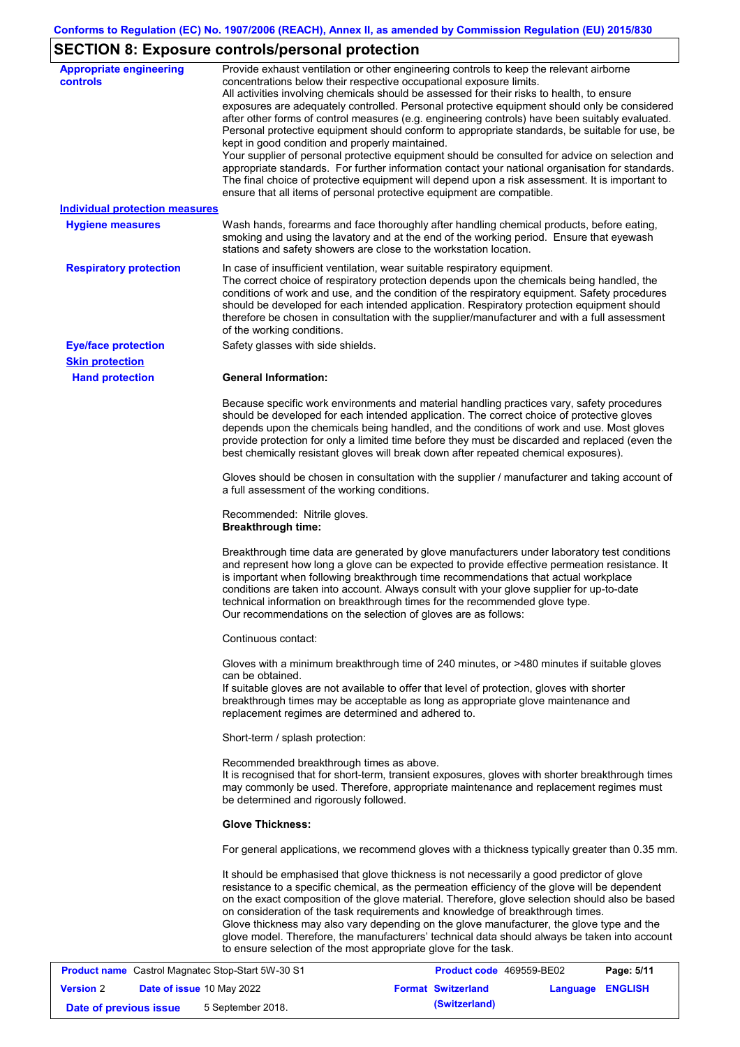# **SECTION 8: Exposure controls/personal protection**

| <b>Appropriate engineering</b><br><b>controls</b> | Provide exhaust ventilation or other engineering controls to keep the relevant airborne<br>concentrations below their respective occupational exposure limits.<br>All activities involving chemicals should be assessed for their risks to health, to ensure<br>exposures are adequately controlled. Personal protective equipment should only be considered<br>after other forms of control measures (e.g. engineering controls) have been suitably evaluated.<br>Personal protective equipment should conform to appropriate standards, be suitable for use, be<br>kept in good condition and properly maintained.<br>Your supplier of personal protective equipment should be consulted for advice on selection and<br>appropriate standards. For further information contact your national organisation for standards.<br>The final choice of protective equipment will depend upon a risk assessment. It is important to<br>ensure that all items of personal protective equipment are compatible. |
|---------------------------------------------------|---------------------------------------------------------------------------------------------------------------------------------------------------------------------------------------------------------------------------------------------------------------------------------------------------------------------------------------------------------------------------------------------------------------------------------------------------------------------------------------------------------------------------------------------------------------------------------------------------------------------------------------------------------------------------------------------------------------------------------------------------------------------------------------------------------------------------------------------------------------------------------------------------------------------------------------------------------------------------------------------------------|
| <b>Individual protection measures</b>             |                                                                                                                                                                                                                                                                                                                                                                                                                                                                                                                                                                                                                                                                                                                                                                                                                                                                                                                                                                                                         |
| <b>Hygiene measures</b>                           | Wash hands, forearms and face thoroughly after handling chemical products, before eating,<br>smoking and using the lavatory and at the end of the working period. Ensure that eyewash<br>stations and safety showers are close to the workstation location.                                                                                                                                                                                                                                                                                                                                                                                                                                                                                                                                                                                                                                                                                                                                             |
| <b>Respiratory protection</b>                     | In case of insufficient ventilation, wear suitable respiratory equipment.<br>The correct choice of respiratory protection depends upon the chemicals being handled, the<br>conditions of work and use, and the condition of the respiratory equipment. Safety procedures<br>should be developed for each intended application. Respiratory protection equipment should<br>therefore be chosen in consultation with the supplier/manufacturer and with a full assessment<br>of the working conditions.                                                                                                                                                                                                                                                                                                                                                                                                                                                                                                   |
| <b>Eye/face protection</b>                        | Safety glasses with side shields.                                                                                                                                                                                                                                                                                                                                                                                                                                                                                                                                                                                                                                                                                                                                                                                                                                                                                                                                                                       |
| <b>Skin protection</b>                            |                                                                                                                                                                                                                                                                                                                                                                                                                                                                                                                                                                                                                                                                                                                                                                                                                                                                                                                                                                                                         |
| <b>Hand protection</b>                            | <b>General Information:</b>                                                                                                                                                                                                                                                                                                                                                                                                                                                                                                                                                                                                                                                                                                                                                                                                                                                                                                                                                                             |
|                                                   | Because specific work environments and material handling practices vary, safety procedures<br>should be developed for each intended application. The correct choice of protective gloves<br>depends upon the chemicals being handled, and the conditions of work and use. Most gloves<br>provide protection for only a limited time before they must be discarded and replaced (even the<br>best chemically resistant gloves will break down after repeated chemical exposures).                                                                                                                                                                                                                                                                                                                                                                                                                                                                                                                        |
|                                                   | Gloves should be chosen in consultation with the supplier / manufacturer and taking account of<br>a full assessment of the working conditions.                                                                                                                                                                                                                                                                                                                                                                                                                                                                                                                                                                                                                                                                                                                                                                                                                                                          |
|                                                   | Recommended: Nitrile gloves.<br><b>Breakthrough time:</b>                                                                                                                                                                                                                                                                                                                                                                                                                                                                                                                                                                                                                                                                                                                                                                                                                                                                                                                                               |
|                                                   | Breakthrough time data are generated by glove manufacturers under laboratory test conditions<br>and represent how long a glove can be expected to provide effective permeation resistance. It<br>is important when following breakthrough time recommendations that actual workplace<br>conditions are taken into account. Always consult with your glove supplier for up-to-date<br>technical information on breakthrough times for the recommended glove type.<br>Our recommendations on the selection of gloves are as follows:                                                                                                                                                                                                                                                                                                                                                                                                                                                                      |
|                                                   | Continuous contact:                                                                                                                                                                                                                                                                                                                                                                                                                                                                                                                                                                                                                                                                                                                                                                                                                                                                                                                                                                                     |
|                                                   | Gloves with a minimum breakthrough time of 240 minutes, or >480 minutes if suitable gloves<br>can be obtained.<br>If suitable gloves are not available to offer that level of protection, gloves with shorter<br>breakthrough times may be acceptable as long as appropriate glove maintenance and<br>replacement regimes are determined and adhered to.                                                                                                                                                                                                                                                                                                                                                                                                                                                                                                                                                                                                                                                |
|                                                   | Short-term / splash protection:                                                                                                                                                                                                                                                                                                                                                                                                                                                                                                                                                                                                                                                                                                                                                                                                                                                                                                                                                                         |
|                                                   | Recommended breakthrough times as above.<br>It is recognised that for short-term, transient exposures, gloves with shorter breakthrough times<br>may commonly be used. Therefore, appropriate maintenance and replacement regimes must<br>be determined and rigorously followed.                                                                                                                                                                                                                                                                                                                                                                                                                                                                                                                                                                                                                                                                                                                        |
|                                                   | <b>Glove Thickness:</b>                                                                                                                                                                                                                                                                                                                                                                                                                                                                                                                                                                                                                                                                                                                                                                                                                                                                                                                                                                                 |
|                                                   | For general applications, we recommend gloves with a thickness typically greater than 0.35 mm.                                                                                                                                                                                                                                                                                                                                                                                                                                                                                                                                                                                                                                                                                                                                                                                                                                                                                                          |
|                                                   | It should be emphasised that glove thickness is not necessarily a good predictor of glove<br>resistance to a specific chemical, as the permeation efficiency of the glove will be dependent<br>on the exact composition of the glove material. Therefore, glove selection should also be based<br>on consideration of the task requirements and knowledge of breakthrough times.<br>Glove thickness may also vary depending on the glove manufacturer, the glove type and the<br>glove model. Therefore, the manufacturers' technical data should always be taken into account<br>to ensure selection of the most appropriate glove for the task.                                                                                                                                                                                                                                                                                                                                                       |
|                                                   | Cootrol Mognatoo Stop Start 511/20.84<br><b>Draduat anda 460550 DE00</b><br><b>Dogo: E/44</b>                                                                                                                                                                                                                                                                                                                                                                                                                                                                                                                                                                                                                                                                                                                                                                                                                                                                                                           |

| <b>Product name</b> Castrol Magnatec Stop-Start 5W-30 S1 |  | <b>Product code</b> 469559-BE02  |  | Page: 5/11                |                  |  |
|----------------------------------------------------------|--|----------------------------------|--|---------------------------|------------------|--|
| <b>Version 2</b>                                         |  | <b>Date of issue 10 May 2022</b> |  | <b>Format Switzerland</b> | Language ENGLISH |  |
| Date of previous issue                                   |  | 5 September 2018.                |  | (Switzerland)             |                  |  |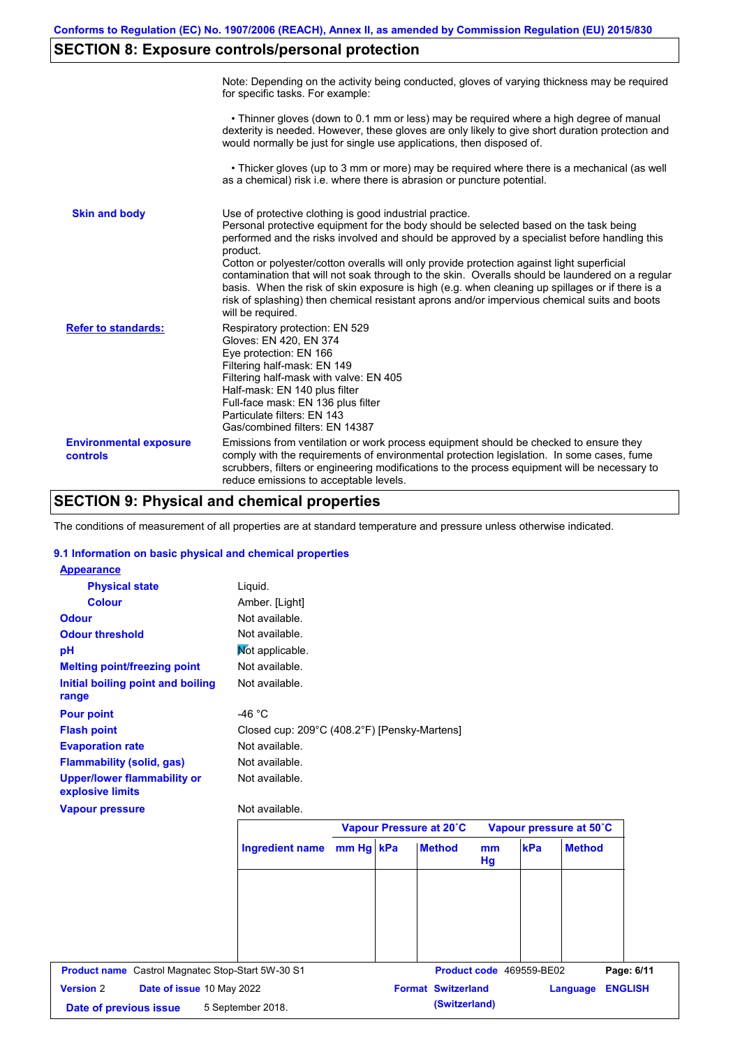# **SECTION 8: Exposure controls/personal protection**

|                                           | Note: Depending on the activity being conducted, gloves of varying thickness may be required<br>for specific tasks. For example:                                                                                                                                                                                                                                                                                                                                                                                                                                                                                                                                                      |
|-------------------------------------------|---------------------------------------------------------------------------------------------------------------------------------------------------------------------------------------------------------------------------------------------------------------------------------------------------------------------------------------------------------------------------------------------------------------------------------------------------------------------------------------------------------------------------------------------------------------------------------------------------------------------------------------------------------------------------------------|
|                                           | • Thinner gloves (down to 0.1 mm or less) may be required where a high degree of manual<br>dexterity is needed. However, these gloves are only likely to give short duration protection and<br>would normally be just for single use applications, then disposed of.                                                                                                                                                                                                                                                                                                                                                                                                                  |
|                                           | • Thicker gloves (up to 3 mm or more) may be required where there is a mechanical (as well<br>as a chemical) risk i.e. where there is abrasion or puncture potential.                                                                                                                                                                                                                                                                                                                                                                                                                                                                                                                 |
| <b>Skin and body</b>                      | Use of protective clothing is good industrial practice.<br>Personal protective equipment for the body should be selected based on the task being<br>performed and the risks involved and should be approved by a specialist before handling this<br>product.<br>Cotton or polyester/cotton overalls will only provide protection against light superficial<br>contamination that will not soak through to the skin. Overalls should be laundered on a regular<br>basis. When the risk of skin exposure is high (e.g. when cleaning up spillages or if there is a<br>risk of splashing) then chemical resistant aprons and/or impervious chemical suits and boots<br>will be required. |
| <b>Refer to standards:</b>                | Respiratory protection: EN 529<br>Gloves: EN 420, EN 374<br>Eye protection: EN 166<br>Filtering half-mask: EN 149<br>Filtering half-mask with valve: EN 405<br>Half-mask: EN 140 plus filter<br>Full-face mask: EN 136 plus filter<br>Particulate filters: EN 143<br>Gas/combined filters: EN 14387                                                                                                                                                                                                                                                                                                                                                                                   |
| <b>Environmental exposure</b><br>controls | Emissions from ventilation or work process equipment should be checked to ensure they<br>comply with the requirements of environmental protection legislation. In some cases, fume<br>scrubbers, filters or engineering modifications to the process equipment will be necessary to<br>reduce emissions to acceptable levels.                                                                                                                                                                                                                                                                                                                                                         |

# **SECTION 9: Physical and chemical properties**

The conditions of measurement of all properties are at standard temperature and pressure unless otherwise indicated.

#### **9.1 Information on basic physical and chemical properties**

| <b>Physical state</b>                                  | Liquid.                                      |           |                                            |          |                          |                         |                |
|--------------------------------------------------------|----------------------------------------------|-----------|--------------------------------------------|----------|--------------------------|-------------------------|----------------|
| <b>Colour</b>                                          | Amber. [Light]                               |           |                                            |          |                          |                         |                |
| <b>Odour</b>                                           | Not available.                               |           |                                            |          |                          |                         |                |
| <b>Odour threshold</b>                                 | Not available.                               |           |                                            |          |                          |                         |                |
| pH                                                     | Mot applicable.                              |           |                                            |          |                          |                         |                |
| <b>Melting point/freezing point</b>                    | Not available.                               |           |                                            |          |                          |                         |                |
| Initial boiling point and boiling<br>range             | Not available.                               |           |                                            |          |                          |                         |                |
| <b>Pour point</b>                                      | $-46 °C$                                     |           |                                            |          |                          |                         |                |
| <b>Flash point</b>                                     | Closed cup: 209°C (408.2°F) [Pensky-Martens] |           |                                            |          |                          |                         |                |
| <b>Evaporation rate</b>                                | Not available.                               |           |                                            |          |                          |                         |                |
| <b>Flammability (solid, gas)</b>                       | Not available.                               |           |                                            |          |                          |                         |                |
| <b>Upper/lower flammability or</b><br>explosive limits | Not available.                               |           |                                            |          |                          |                         |                |
| <b>Vapour pressure</b>                                 | Not available.                               |           |                                            |          |                          |                         |                |
|                                                        |                                              |           |                                            |          |                          |                         |                |
|                                                        |                                              |           | Vapour Pressure at 20°C                    |          |                          | Vapour pressure at 50°C |                |
|                                                        | <b>Ingredient name</b>                       | mm Hg kPa | <b>Method</b>                              | mm<br>Hg | kPa                      | <b>Method</b>           |                |
|                                                        |                                              |           |                                            |          |                          |                         |                |
|                                                        |                                              |           |                                            |          |                          |                         |                |
|                                                        |                                              |           |                                            |          |                          |                         |                |
|                                                        |                                              |           |                                            |          |                          |                         |                |
|                                                        |                                              |           |                                            |          |                          |                         |                |
|                                                        |                                              |           |                                            |          |                          |                         |                |
| Product name Castrol Magnatec Stop-Start 5W-30 S1      |                                              |           |                                            |          | Product code 469559-BE02 |                         | Page: 6/11     |
| <b>Version 2</b><br>Date of issue 10 May 2022          |                                              |           | <b>Format Switzerland</b><br>(Switzerland) |          |                          | Language                | <b>ENGLISH</b> |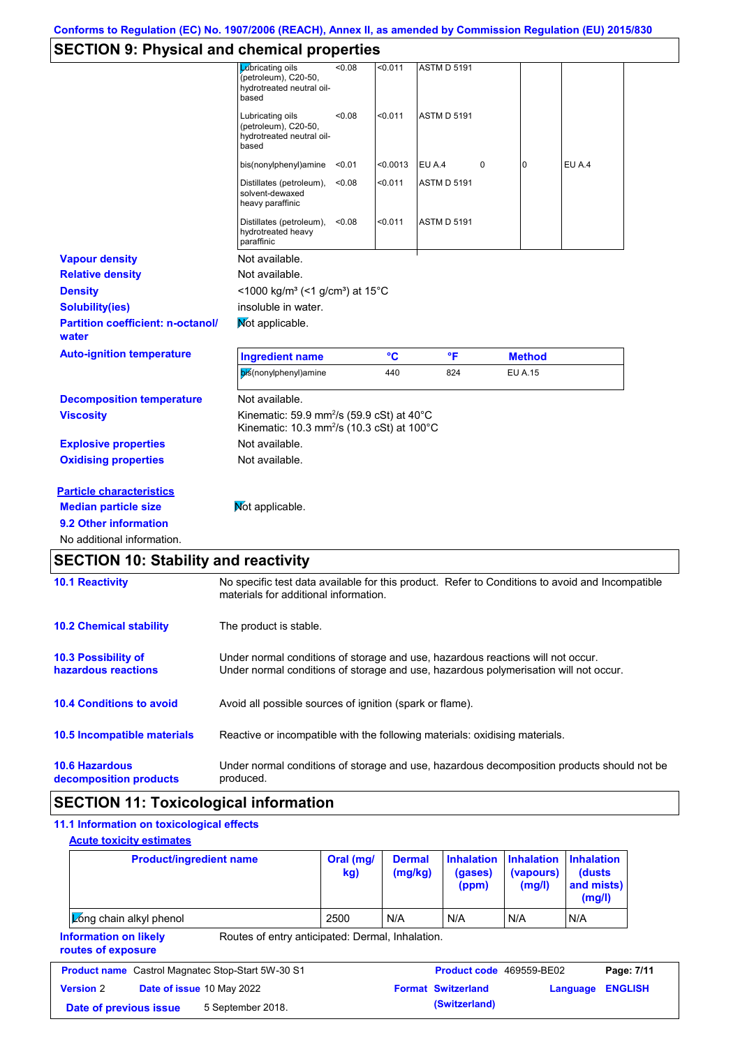### **SECTION 9: Physical and chemical properties**

| OLOTION 9. I HYSICAI ANU CHENNCAI PIUPEI NES      |                                                                                                                                                                         |        |                 |                    |   |                |               |  |
|---------------------------------------------------|-------------------------------------------------------------------------------------------------------------------------------------------------------------------------|--------|-----------------|--------------------|---|----------------|---------------|--|
|                                                   | Lubricating oils<br>(petroleum), C20-50,<br>hydrotreated neutral oil-<br>based                                                                                          | < 0.08 | < 0.011         | <b>ASTM D 5191</b> |   |                |               |  |
|                                                   | Lubricating oils<br>(petroleum), C20-50,<br>hydrotreated neutral oil-<br>based                                                                                          | < 0.08 | < 0.011         | <b>ASTM D 5191</b> |   |                |               |  |
|                                                   | bis(nonylphenyl)amine <0.01                                                                                                                                             |        | < 0.0013        | EU A.4             | 0 | 0              | <b>EU A.4</b> |  |
|                                                   | Distillates (petroleum),<br>solvent-dewaxed<br>heavy paraffinic                                                                                                         | < 0.08 | < 0.011         | <b>ASTM D 5191</b> |   |                |               |  |
|                                                   | Distillates (petroleum),<br>hydrotreated heavy<br>paraffinic                                                                                                            | < 0.08 | < 0.011         | <b>ASTM D 5191</b> |   |                |               |  |
| <b>Vapour density</b>                             | Not available.                                                                                                                                                          |        |                 |                    |   |                |               |  |
| <b>Relative density</b>                           | Not available.                                                                                                                                                          |        |                 |                    |   |                |               |  |
| <b>Density</b>                                    | <1000 kg/m <sup>3</sup> (<1 g/cm <sup>3</sup> ) at 15°C                                                                                                                 |        |                 |                    |   |                |               |  |
| <b>Solubility(ies)</b>                            | insoluble in water.                                                                                                                                                     |        |                 |                    |   |                |               |  |
| <b>Partition coefficient: n-octanol/</b><br>water | Mot applicable.                                                                                                                                                         |        |                 |                    |   |                |               |  |
| <b>Auto-ignition temperature</b>                  | <b>Ingredient name</b>                                                                                                                                                  |        | $\rm ^{\circ}C$ | °F                 |   | <b>Method</b>  |               |  |
|                                                   | bis(nonylphenyl)amine                                                                                                                                                   |        | 440             | 824                |   | <b>EU A.15</b> |               |  |
| <b>Decomposition temperature</b>                  | Not available.                                                                                                                                                          |        |                 |                    |   |                |               |  |
| <b>Viscosity</b>                                  | Kinematic: 59.9 mm <sup>2</sup> /s (59.9 cSt) at 40 $\degree$ C<br>Kinematic: 10.3 mm <sup>2</sup> /s (10.3 cSt) at 100°C                                               |        |                 |                    |   |                |               |  |
| <b>Explosive properties</b>                       | Not available.                                                                                                                                                          |        |                 |                    |   |                |               |  |
| <b>Oxidising properties</b>                       | Not available.                                                                                                                                                          |        |                 |                    |   |                |               |  |
| <b>Particle characteristics</b>                   |                                                                                                                                                                         |        |                 |                    |   |                |               |  |
| <b>Median particle size</b>                       | Mot applicable.                                                                                                                                                         |        |                 |                    |   |                |               |  |
| 9.2 Other information                             |                                                                                                                                                                         |        |                 |                    |   |                |               |  |
| No additional information.                        |                                                                                                                                                                         |        |                 |                    |   |                |               |  |
| <b>SECTION 10: Stability and reactivity</b>       |                                                                                                                                                                         |        |                 |                    |   |                |               |  |
| <b>10.1 Reactivity</b>                            | No specific test data available for this product. Refer to Conditions to avoid and Incompatible<br>materials for additional information.                                |        |                 |                    |   |                |               |  |
| <b>10.2 Chemical stability</b>                    | The product is stable.                                                                                                                                                  |        |                 |                    |   |                |               |  |
| 10.3 Possibility of<br>hazardous reactions        | Under normal conditions of storage and use, hazardous reactions will not occur.<br>Under normal conditions of storage and use, hazardous polymerisation will not occur. |        |                 |                    |   |                |               |  |
| <b>10.4 Conditions to avoid</b>                   | Avoid all possible sources of ignition (spark or flame).                                                                                                                |        |                 |                    |   |                |               |  |
| 10.5 Incompatible materials                       | Reactive or incompatible with the following materials: oxidising materials.                                                                                             |        |                 |                    |   |                |               |  |

**10.6 Hazardous**  Under normal conditions of storage and use, hazardous decomposition products should not be

**decomposition products**

### **SECTION 11: Toxicological information**

produced.

#### Routes of entry anticipated: Dermal, Inhalation. **11.1 Information on toxicological effects Information on likely routes of exposure Acute toxicity estimates Product/ingredient name <b>Dral** (mg/ **kg) Dermal (mg/kg) Inhalation (gases) (ppm) Inhalation (vapours) (mg/l) Inhalation (dusts and mists) (mg/l) Long chain alkyl phenol comparently better as a comparently being comparently be a set of the COMA N/A** N/A N/A **Product name** Castrol Magnatec Stop-Start 5W-30 S1 **Product code** 469559-BE02 **Page: 7/11 Version** 2 **Date of issue** 10 May 2022 **Format Switzerland Language ENGLISH Date of previous issue** 5 September 2018. **(Switzerland) (Switzerland)**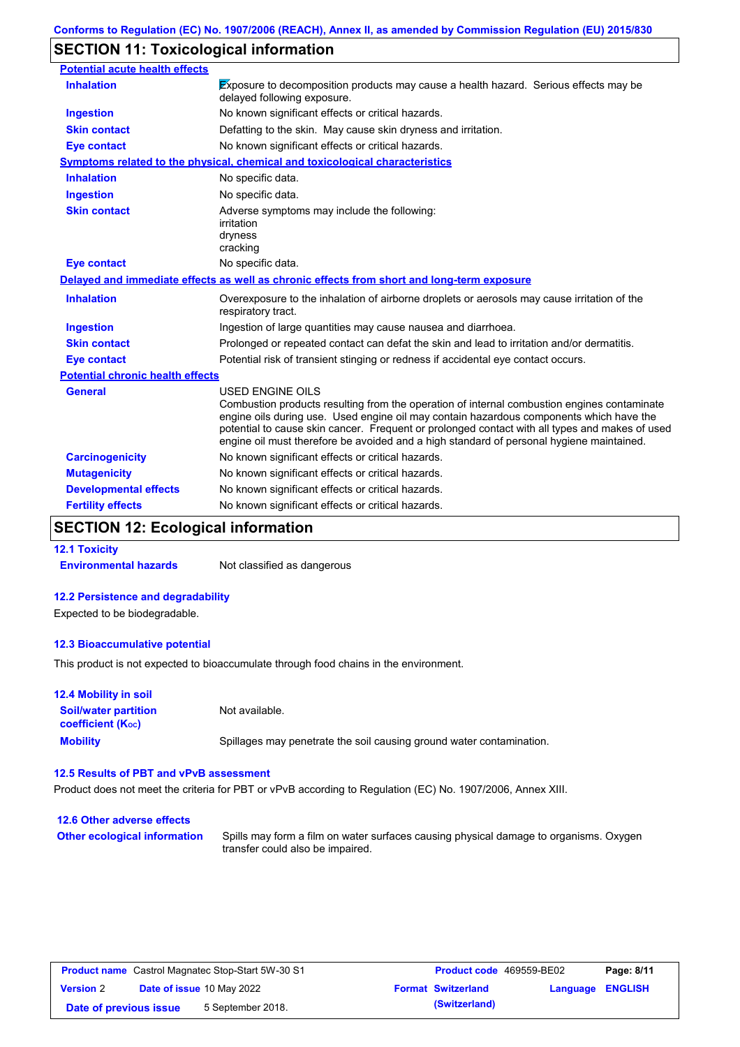### **SECTION 11: Toxicological information**

| <b>Potential acute health effects</b>   |                                                                                                                                                                                                                                                                                                                                                                                                                 |
|-----------------------------------------|-----------------------------------------------------------------------------------------------------------------------------------------------------------------------------------------------------------------------------------------------------------------------------------------------------------------------------------------------------------------------------------------------------------------|
| <b>Inhalation</b>                       | <b>Exposure to decomposition products may cause a health hazard. Serious effects may be</b><br>delayed following exposure.                                                                                                                                                                                                                                                                                      |
| <b>Ingestion</b>                        | No known significant effects or critical hazards.                                                                                                                                                                                                                                                                                                                                                               |
| <b>Skin contact</b>                     | Defatting to the skin. May cause skin dryness and irritation.                                                                                                                                                                                                                                                                                                                                                   |
| <b>Eye contact</b>                      | No known significant effects or critical hazards.                                                                                                                                                                                                                                                                                                                                                               |
|                                         | Symptoms related to the physical, chemical and toxicological characteristics                                                                                                                                                                                                                                                                                                                                    |
| <b>Inhalation</b>                       | No specific data.                                                                                                                                                                                                                                                                                                                                                                                               |
| <b>Ingestion</b>                        | No specific data.                                                                                                                                                                                                                                                                                                                                                                                               |
| <b>Skin contact</b>                     | Adverse symptoms may include the following:<br>irritation<br>dryness<br>cracking                                                                                                                                                                                                                                                                                                                                |
| <b>Eye contact</b>                      | No specific data.                                                                                                                                                                                                                                                                                                                                                                                               |
|                                         | Delayed and immediate effects as well as chronic effects from short and long-term exposure                                                                                                                                                                                                                                                                                                                      |
| <b>Inhalation</b>                       | Overexposure to the inhalation of airborne droplets or aerosols may cause irritation of the<br>respiratory tract.                                                                                                                                                                                                                                                                                               |
| <b>Ingestion</b>                        | Ingestion of large quantities may cause nausea and diarrhoea.                                                                                                                                                                                                                                                                                                                                                   |
| <b>Skin contact</b>                     | Prolonged or repeated contact can defat the skin and lead to irritation and/or dermatitis.                                                                                                                                                                                                                                                                                                                      |
| <b>Eye contact</b>                      | Potential risk of transient stinging or redness if accidental eye contact occurs.                                                                                                                                                                                                                                                                                                                               |
| <b>Potential chronic health effects</b> |                                                                                                                                                                                                                                                                                                                                                                                                                 |
| <b>General</b>                          | <b>USED ENGINE OILS</b><br>Combustion products resulting from the operation of internal combustion engines contaminate<br>engine oils during use. Used engine oil may contain hazardous components which have the<br>potential to cause skin cancer. Frequent or prolonged contact with all types and makes of used<br>engine oil must therefore be avoided and a high standard of personal hygiene maintained. |
| <b>Carcinogenicity</b>                  | No known significant effects or critical hazards.                                                                                                                                                                                                                                                                                                                                                               |
| <b>Mutagenicity</b>                     | No known significant effects or critical hazards.                                                                                                                                                                                                                                                                                                                                                               |
| <b>Developmental effects</b>            | No known significant effects or critical hazards.                                                                                                                                                                                                                                                                                                                                                               |
| <b>Fertility effects</b>                | No known significant effects or critical hazards.                                                                                                                                                                                                                                                                                                                                                               |

# **SECTION 12: Ecological information**

**12.1 Toxicity**

**Environmental hazards** Not classified as dangerous

### **12.2 Persistence and degradability**

Expected to be biodegradable.

#### **12.3 Bioaccumulative potential**

This product is not expected to bioaccumulate through food chains in the environment.

#### **Mobility** Spillages may penetrate the soil causing ground water contamination. **12.4 Mobility in soil Soil/water partition coefficient (KOC)** Not available.

#### **12.5 Results of PBT and vPvB assessment**

Product does not meet the criteria for PBT or vPvB according to Regulation (EC) No. 1907/2006, Annex XIII.

### **12.6 Other adverse effects Other ecological information**

Spills may form a film on water surfaces causing physical damage to organisms. Oxygen transfer could also be impaired.

| <b>Product name</b> Castrol Magnatec Stop-Start 5W-30 S1 |  | Product code 469559-BE02         |  | Page: 8/11                |                         |  |
|----------------------------------------------------------|--|----------------------------------|--|---------------------------|-------------------------|--|
| <b>Version 2</b>                                         |  | <b>Date of issue 10 May 2022</b> |  | <b>Format Switzerland</b> | <b>Language ENGLISH</b> |  |
| Date of previous issue                                   |  | 5 September 2018.                |  | (Switzerland)             |                         |  |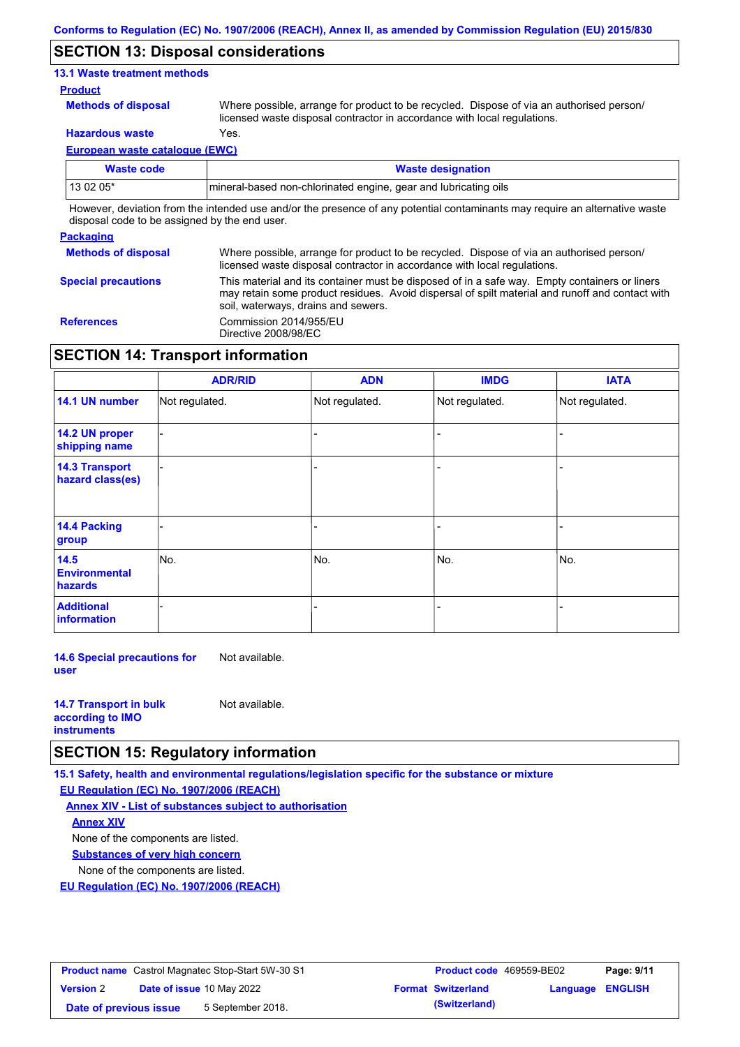### **SECTION 13: Disposal considerations**

### **13.1 Waste treatment methods**

#### **Product**

**Methods of disposal**

Where possible, arrange for product to be recycled. Dispose of via an authorised person/ licensed waste disposal contractor in accordance with local regulations.

**Hazardous waste** Yes.

**European waste catalogue (EWC)**

| Waste code | <b>Waste designation</b>                                                                                                    |
|------------|-----------------------------------------------------------------------------------------------------------------------------|
| 13 02 05*  | Imineral-based non-chlorinated engine, gear and lubricating oils                                                            |
|            | However, deviation from the intended use and/or the presence of any potential contaminants may require an alternative waste |

disposal code to be assigned by the end user.

### **Packaging**

| <b>Methods of disposal</b> | Where possible, arrange for product to be recycled. Dispose of via an authorised person/<br>licensed waste disposal contractor in accordance with local regulations.                                                                    |
|----------------------------|-----------------------------------------------------------------------------------------------------------------------------------------------------------------------------------------------------------------------------------------|
| <b>Special precautions</b> | This material and its container must be disposed of in a safe way. Empty containers or liners<br>may retain some product residues. Avoid dispersal of spilt material and runoff and contact with<br>soil, waterways, drains and sewers. |
| <b>References</b>          | Commission 2014/955/EU<br>Directive 2008/98/EC                                                                                                                                                                                          |

### **SECTION 14: Transport information**

|                                           | <b>ADR/RID</b> | <b>ADN</b>     | <b>IMDG</b>    | <b>IATA</b>    |
|-------------------------------------------|----------------|----------------|----------------|----------------|
| 14.1 UN number                            | Not regulated. | Not regulated. | Not regulated. | Not regulated. |
| 14.2 UN proper<br>shipping name           |                |                |                |                |
| <b>14.3 Transport</b><br>hazard class(es) |                |                |                |                |
| 14.4 Packing<br>group                     |                |                |                |                |
| 14.5<br><b>Environmental</b><br>hazards   | No.            | No.            | No.            | No.            |
| <b>Additional</b><br>information          |                |                |                |                |

**14.6 Special precautions for user** Not available.

| <b>14.7 Transport in bulk</b> | Not available. |
|-------------------------------|----------------|
| according to <b>IMO</b>       |                |
| <b>instruments</b>            |                |

### **SECTION 15: Regulatory information**

**15.1 Safety, health and environmental regulations/legislation specific for the substance or mixture**

**EU Regulation (EC) No. 1907/2006 (REACH)**

**Annex XIV - List of substances subject to authorisation Substances of very high concern** None of the components are listed. None of the components are listed. **Annex XIV**

**EU Regulation (EC) No. 1907/2006 (REACH)**

| <b>Product name</b> Castrol Magnatec Stop-Start 5W-30 S1 |  | <b>Product code</b> 469559-BE02  |  | Page: 9/11                |                         |  |
|----------------------------------------------------------|--|----------------------------------|--|---------------------------|-------------------------|--|
| <b>Version 2</b>                                         |  | <b>Date of issue 10 May 2022</b> |  | <b>Format Switzerland</b> | <b>Language ENGLISH</b> |  |
| Date of previous issue                                   |  | 5 September 2018.                |  | (Switzerland)             |                         |  |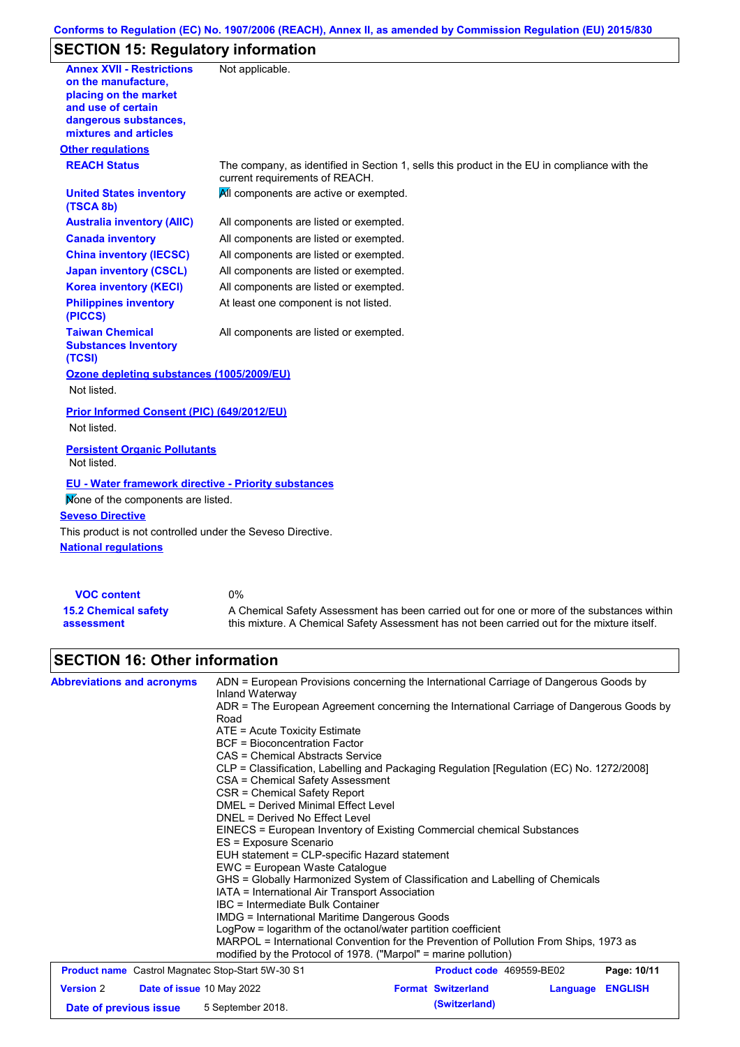### **Conforms to Regulation (EC) No. 1907/2006 (REACH), Annex II, as amended by Commission Regulation (EU) 2015/830**

# **SECTION 15: Regulatory information**

| <b>Annex XVII - Restrictions</b><br>on the manufacture,<br>placing on the market<br>and use of certain<br>dangerous substances,<br>mixtures and articles | Not applicable.                                                                                                                |
|----------------------------------------------------------------------------------------------------------------------------------------------------------|--------------------------------------------------------------------------------------------------------------------------------|
| <b>Other regulations</b>                                                                                                                                 |                                                                                                                                |
| <b>REACH Status</b>                                                                                                                                      | The company, as identified in Section 1, sells this product in the EU in compliance with the<br>current requirements of REACH. |
| <b>United States inventory</b><br>(TSCA 8b)                                                                                                              | All components are active or exempted.                                                                                         |
| <b>Australia inventory (AIIC)</b>                                                                                                                        | All components are listed or exempted.                                                                                         |
| <b>Canada inventory</b>                                                                                                                                  | All components are listed or exempted.                                                                                         |
| <b>China inventory (IECSC)</b>                                                                                                                           | All components are listed or exempted.                                                                                         |
| <b>Japan inventory (CSCL)</b>                                                                                                                            | All components are listed or exempted.                                                                                         |
| <b>Korea inventory (KECI)</b>                                                                                                                            | All components are listed or exempted.                                                                                         |
| <b>Philippines inventory</b><br>(PICCS)                                                                                                                  | At least one component is not listed.                                                                                          |
| <b>Taiwan Chemical</b><br><b>Substances Inventory</b><br>(TCSI)                                                                                          | All components are listed or exempted.                                                                                         |
| Ozone depleting substances (1005/2009/EU)                                                                                                                |                                                                                                                                |
| Not listed.                                                                                                                                              |                                                                                                                                |
| Prior Informed Consent (PIC) (649/2012/EU)<br>Not listed.                                                                                                |                                                                                                                                |
| <b>Persistent Organic Pollutants</b><br>Not listed.                                                                                                      |                                                                                                                                |
| <b>EU - Water framework directive - Priority substances</b><br>Mone of the components are listed.                                                        |                                                                                                                                |
| <b>Seveso Directive</b>                                                                                                                                  |                                                                                                                                |
| This product is not controlled under the Seveso Directive.                                                                                               |                                                                                                                                |
| <b>National requlations</b>                                                                                                                              |                                                                                                                                |
|                                                                                                                                                          |                                                                                                                                |

| <b>VOC content</b>          | 0%                                                                                          |
|-----------------------------|---------------------------------------------------------------------------------------------|
| <b>15.2 Chemical safety</b> | A Chemical Safety Assessment has been carried out for one or more of the substances within  |
| assessment                  | this mixture. A Chemical Safety Assessment has not been carried out for the mixture itself. |

# **SECTION 16: Other information**

| <b>Abbreviations and acronyms</b>                        | ADN = European Provisions concerning the International Carriage of Dangerous Goods by<br>Inland Waterway |  |  |  |  |  |
|----------------------------------------------------------|----------------------------------------------------------------------------------------------------------|--|--|--|--|--|
|                                                          | ADR = The European Agreement concerning the International Carriage of Dangerous Goods by<br>Road         |  |  |  |  |  |
|                                                          | $ATE =$ Acute Toxicity Estimate                                                                          |  |  |  |  |  |
|                                                          | <b>BCF</b> = Bioconcentration Factor                                                                     |  |  |  |  |  |
|                                                          | CAS = Chemical Abstracts Service                                                                         |  |  |  |  |  |
|                                                          | CLP = Classification, Labelling and Packaging Regulation [Regulation (EC) No. 1272/2008]                 |  |  |  |  |  |
|                                                          | CSA = Chemical Safety Assessment                                                                         |  |  |  |  |  |
|                                                          | CSR = Chemical Safety Report                                                                             |  |  |  |  |  |
|                                                          | <b>DMEL = Derived Minimal Effect Level</b>                                                               |  |  |  |  |  |
|                                                          | DNEL = Derived No Effect Level                                                                           |  |  |  |  |  |
|                                                          | EINECS = European Inventory of Existing Commercial chemical Substances                                   |  |  |  |  |  |
|                                                          | ES = Exposure Scenario                                                                                   |  |  |  |  |  |
|                                                          | EUH statement = CLP-specific Hazard statement                                                            |  |  |  |  |  |
|                                                          | EWC = European Waste Catalogue                                                                           |  |  |  |  |  |
|                                                          | GHS = Globally Harmonized System of Classification and Labelling of Chemicals                            |  |  |  |  |  |
|                                                          | IATA = International Air Transport Association                                                           |  |  |  |  |  |
|                                                          | IBC = Intermediate Bulk Container                                                                        |  |  |  |  |  |
|                                                          | IMDG = International Maritime Dangerous Goods                                                            |  |  |  |  |  |
|                                                          | LogPow = logarithm of the octanol/water partition coefficient                                            |  |  |  |  |  |
|                                                          | MARPOL = International Convention for the Prevention of Pollution From Ships, 1973 as                    |  |  |  |  |  |
|                                                          | modified by the Protocol of 1978. ("Marpol" = marine pollution)                                          |  |  |  |  |  |
| <b>Product name</b> Castrol Magnatec Stop-Start 5W-30 S1 | Page: 10/11<br><b>Product code</b> 469559-BE02                                                           |  |  |  |  |  |
|                                                          |                                                                                                          |  |  |  |  |  |

| <b>Trouble number cash of magnates stop start on so si</b> |  | <b>THOMMOLOGOGY</b> TUUUUU DEUL |  | . <b>.</b>                |                         |  |
|------------------------------------------------------------|--|---------------------------------|--|---------------------------|-------------------------|--|
| <b>Version 2</b>                                           |  | Date of issue 10 May 2022       |  | <b>Format Switzerland</b> | <b>Language ENGLISH</b> |  |
| Date of previous issue                                     |  | 5 September 2018.               |  | (Switzerland)             |                         |  |